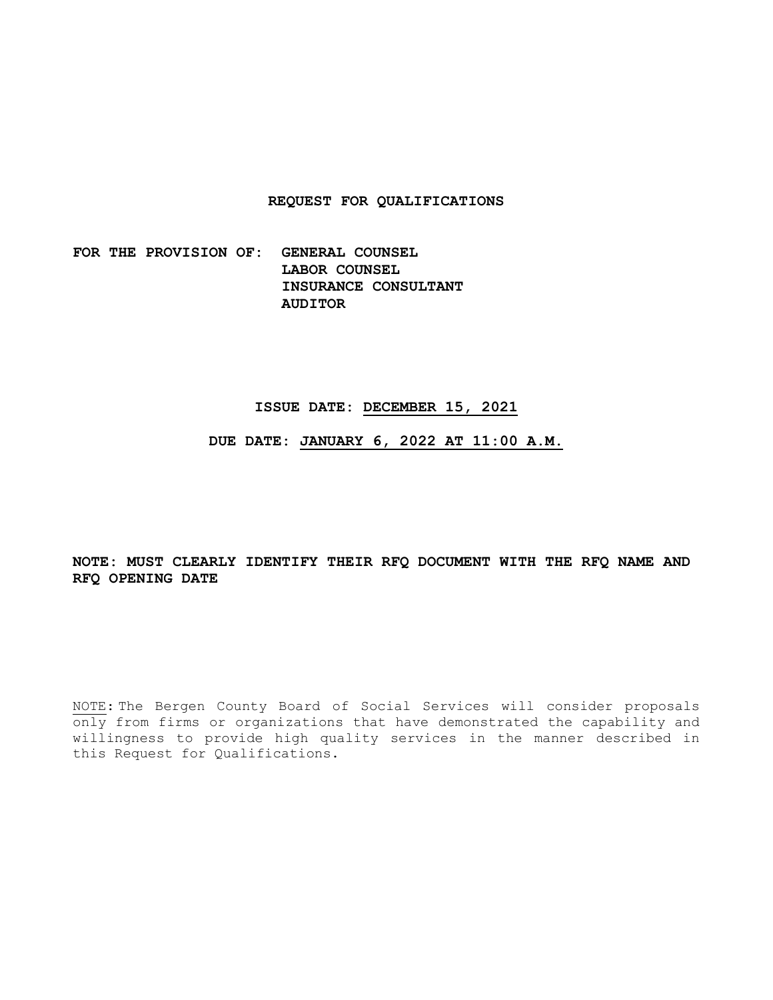## **REQUEST FOR QUALIFICATIONS**

**FOR THE PROVISION OF: GENERAL COUNSEL LABOR COUNSEL INSURANCE CONSULTANT AUDITOR** 

#### **ISSUE DATE: DECEMBER 15, 2021**

**DUE DATE: JANUARY 6, 2022 AT 11:00 A.M.** 

**NOTE: MUST CLEARLY IDENTIFY THEIR RFQ DOCUMENT WITH THE RFQ NAME AND RFQ OPENING DATE** 

NOTE: The Bergen County Board of Social Services will consider proposals only from firms or organizations that have demonstrated the capability and willingness to provide high quality services in the manner described in this Request for Qualifications.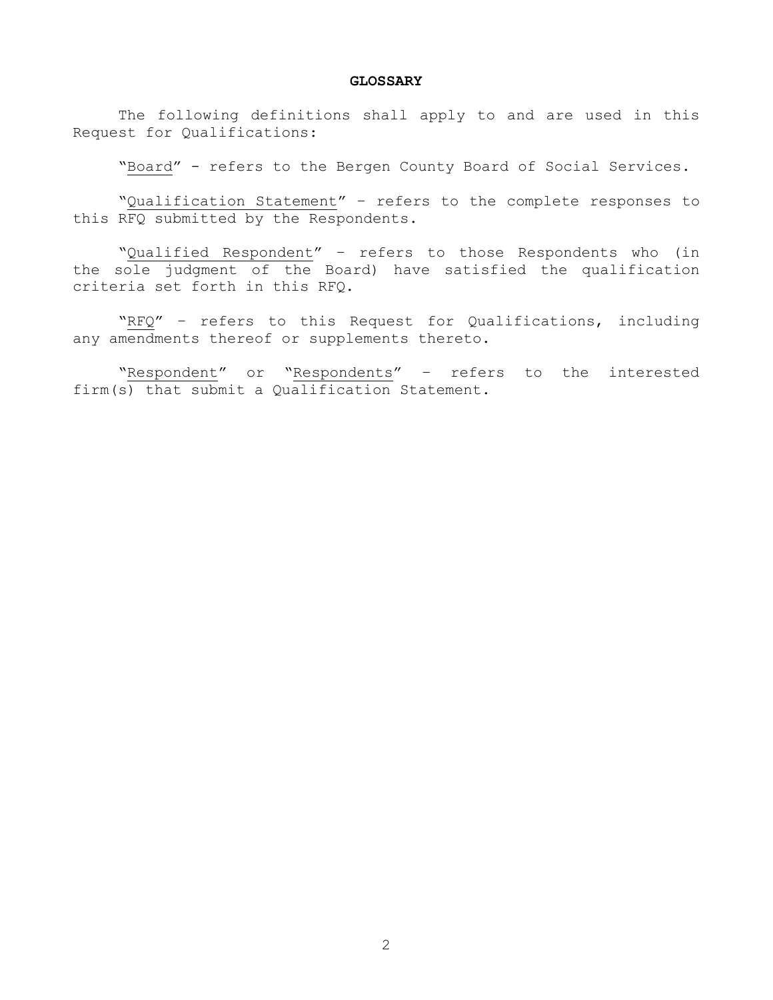#### **GLOSSARY**

 The following definitions shall apply to and are used in this Request for Qualifications:

"Board" - refers to the Bergen County Board of Social Services.

 "Qualification Statement" – refers to the complete responses to this RFQ submitted by the Respondents.

 "Qualified Respondent" – refers to those Respondents who (in the sole judgment of the Board) have satisfied the qualification criteria set forth in this RFQ.

 "RFQ" – refers to this Request for Qualifications, including any amendments thereof or supplements thereto.

 "Respondent" or "Respondents" – refers to the interested firm(s) that submit a Qualification Statement.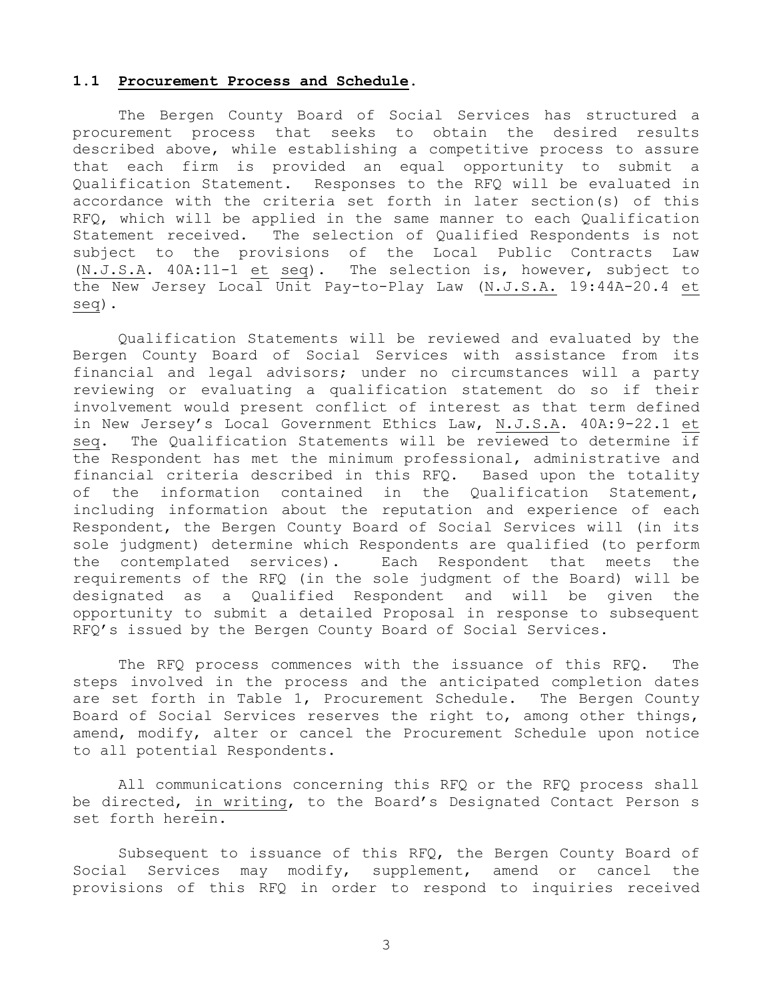## **1.1 Procurement Process and Schedule.**

The Bergen County Board of Social Services has structured a procurement process that seeks to obtain the desired results described above, while establishing a competitive process to assure that each firm is provided an equal opportunity to submit a Qualification Statement. Responses to the RFQ will be evaluated in accordance with the criteria set forth in later section(s) of this RFQ, which will be applied in the same manner to each Qualification Statement received. The selection of Qualified Respondents is not subject to the provisions of the Local Public Contracts Law (N.J.S.A. 40A:11-1 et seq). The selection is, however, subject to the New Jersey Local Unit Pay-to-Play Law (N.J.S.A. 19:44A-20.4 et seq).

Qualification Statements will be reviewed and evaluated by the Bergen County Board of Social Services with assistance from its financial and legal advisors; under no circumstances will a party reviewing or evaluating a qualification statement do so if their involvement would present conflict of interest as that term defined in New Jersey's Local Government Ethics Law, N.J.S.A. 40A:9-22.1 et seq. The Qualification Statements will be reviewed to determine if the Respondent has met the minimum professional, administrative and financial criteria described in this RFQ. Based upon the totality of the information contained in the Qualification Statement, including information about the reputation and experience of each Respondent, the Bergen County Board of Social Services will (in its sole judgment) determine which Respondents are qualified (to perform the contemplated services). Each Respondent that meets the requirements of the RFQ (in the sole judgment of the Board) will be designated as a Qualified Respondent and will be given the opportunity to submit a detailed Proposal in response to subsequent RFQ's issued by the Bergen County Board of Social Services.

The RFQ process commences with the issuance of this RFQ. The steps involved in the process and the anticipated completion dates are set forth in Table 1, Procurement Schedule. The Bergen County Board of Social Services reserves the right to, among other things, amend, modify, alter or cancel the Procurement Schedule upon notice to all potential Respondents.

All communications concerning this RFQ or the RFQ process shall be directed, in writing, to the Board's Designated Contact Person s set forth herein.

Subsequent to issuance of this RFQ, the Bergen County Board of Social Services may modify, supplement, amend or cancel the provisions of this RFQ in order to respond to inquiries received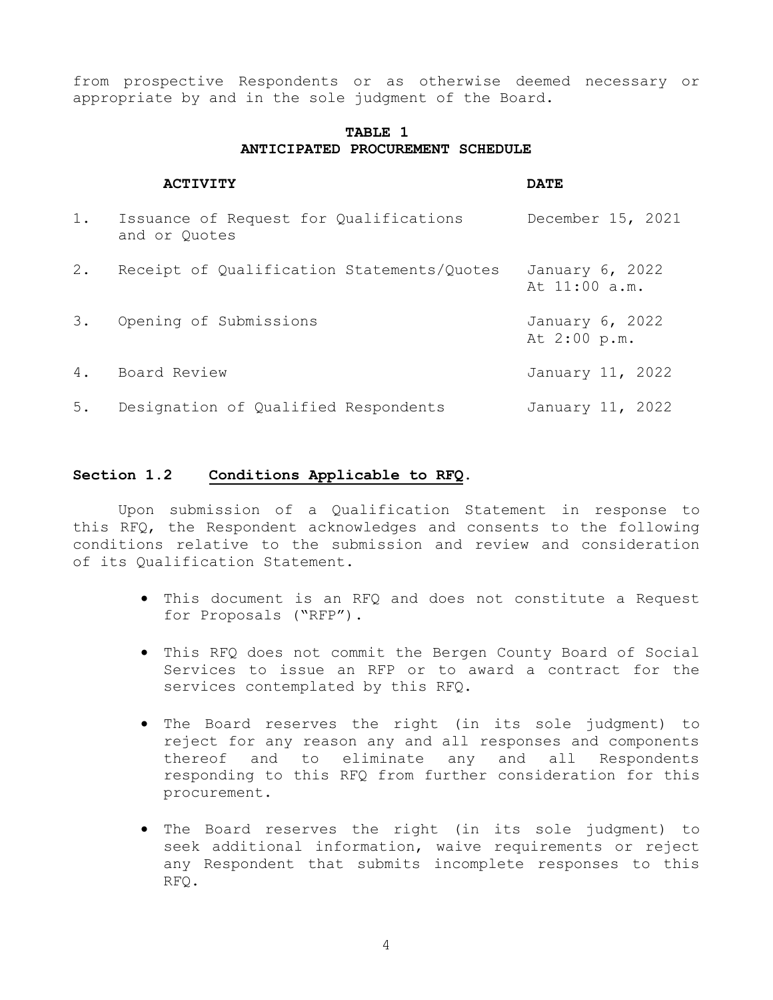from prospective Respondents or as otherwise deemed necessary or appropriate by and in the sole judgment of the Board.

# **TABLE 1 ANTICIPATED PROCUREMENT SCHEDULE**

|       | <b>ACTIVITY</b>                                         | <b>DATE</b>                      |
|-------|---------------------------------------------------------|----------------------------------|
| 1.    | Issuance of Request for Qualifications<br>and or Quotes | December 15, 2021                |
| $2$ . | Receipt of Qualification Statements/Quotes              | January 6, 2022<br>At 11:00 a.m. |
| 3.    | Opening of Submissions                                  | January 6, 2022<br>At 2:00 p.m.  |
|       | 4. Board Review                                         | January 11, 2022                 |
| 5.    | Designation of Qualified Respondents                    | January 11, 2022                 |

## **Section 1.2 Conditions Applicable to RFQ.**

Upon submission of a Qualification Statement in response to this RFQ, the Respondent acknowledges and consents to the following conditions relative to the submission and review and consideration of its Qualification Statement.

- This document is an RFQ and does not constitute a Request for Proposals ("RFP").
- This RFQ does not commit the Bergen County Board of Social Services to issue an RFP or to award a contract for the services contemplated by this RFQ.
- The Board reserves the right (in its sole judgment) to reject for any reason any and all responses and components thereof and to eliminate any and all Respondents responding to this RFQ from further consideration for this procurement.
- The Board reserves the right (in its sole judgment) to seek additional information, waive requirements or reject any Respondent that submits incomplete responses to this RFQ.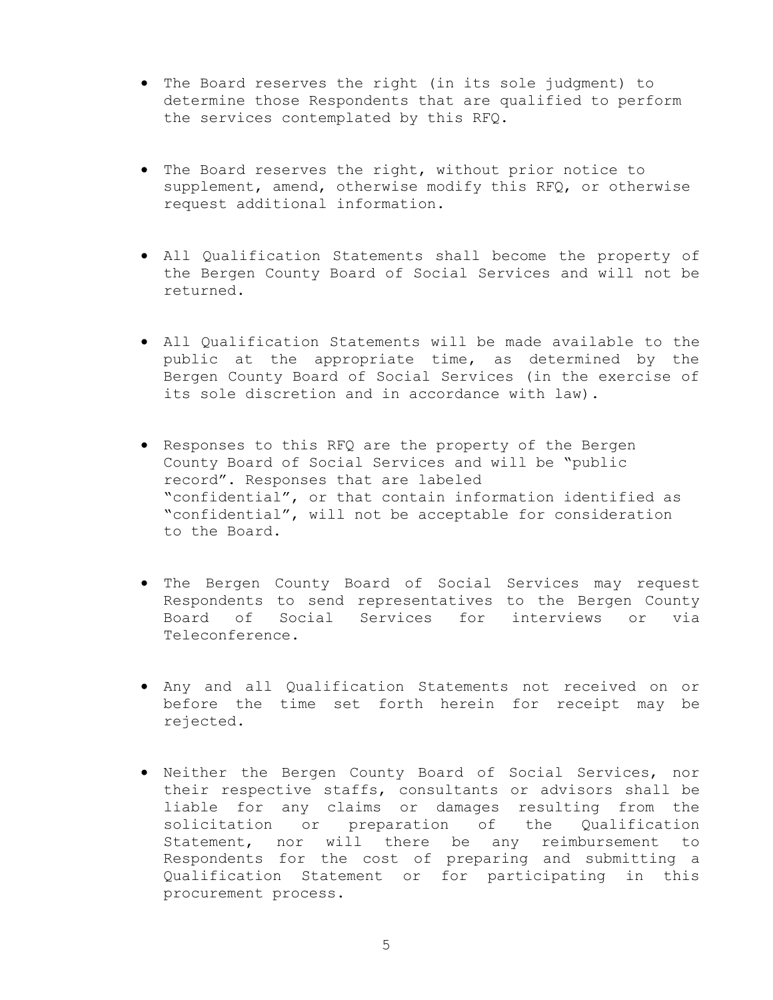- The Board reserves the right (in its sole judgment) to determine those Respondents that are qualified to perform the services contemplated by this RFQ.
- The Board reserves the right, without prior notice to supplement, amend, otherwise modify this RFQ, or otherwise request additional information.
- All Qualification Statements shall become the property of the Bergen County Board of Social Services and will not be returned.
- All Qualification Statements will be made available to the public at the appropriate time, as determined by the Bergen County Board of Social Services (in the exercise of its sole discretion and in accordance with law).
- Responses to this RFQ are the property of the Bergen County Board of Social Services and will be "public record". Responses that are labeled "confidential", or that contain information identified as "confidential", will not be acceptable for consideration to the Board.
- The Bergen County Board of Social Services may request Respondents to send representatives to the Bergen County Board of Social Services for interviews or via Teleconference.
- Any and all Qualification Statements not received on or before the time set forth herein for receipt may be rejected.
- Neither the Bergen County Board of Social Services, nor their respective staffs, consultants or advisors shall be liable for any claims or damages resulting from the solicitation or preparation of the Qualification Statement, nor will there be any reimbursement to Respondents for the cost of preparing and submitting a Qualification Statement or for participating in this procurement process.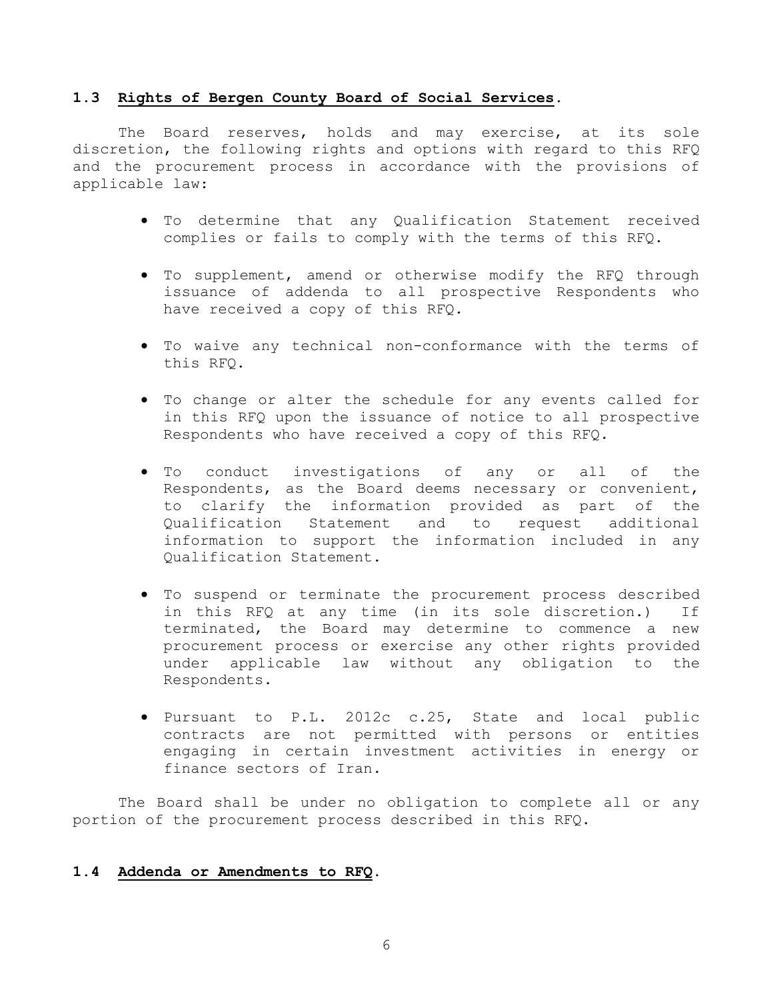## **1.3 Rights of Bergen County Board of Social Services.**

The Board reserves, holds and may exercise, at its sole discretion, the following rights and options with regard to this RFQ and the procurement process in accordance with the provisions of applicable law:

- To determine that any Qualification Statement received complies or fails to comply with the terms of this RFQ.
- To supplement, amend or otherwise modify the RFQ through issuance of addenda to all prospective Respondents who have received a copy of this RFQ.
- To waive any technical non-conformance with the terms of this RFQ.
- To change or alter the schedule for any events called for in this RFQ upon the issuance of notice to all prospective Respondents who have received a copy of this RFQ.
- To conduct investigations of any or all of the Respondents, as the Board deems necessary or convenient, to clarify the information provided as part of the Qualification Statement and to request additional information to support the information included in any Qualification Statement.
- To suspend or terminate the procurement process described in this RFQ at any time (in its sole discretion.) If terminated, the Board may determine to commence a new procurement process or exercise any other rights provided under applicable law without any obligation to the Respondents.
- Pursuant to P.L. 2012c c.25, State and local public contracts are not permitted with persons or entities engaging in certain investment activities in energy or finance sectors of Iran.

The Board shall be under no obligation to complete all or any portion of the procurement process described in this RFQ.

# **1.4 Addenda or Amendments to RFQ.**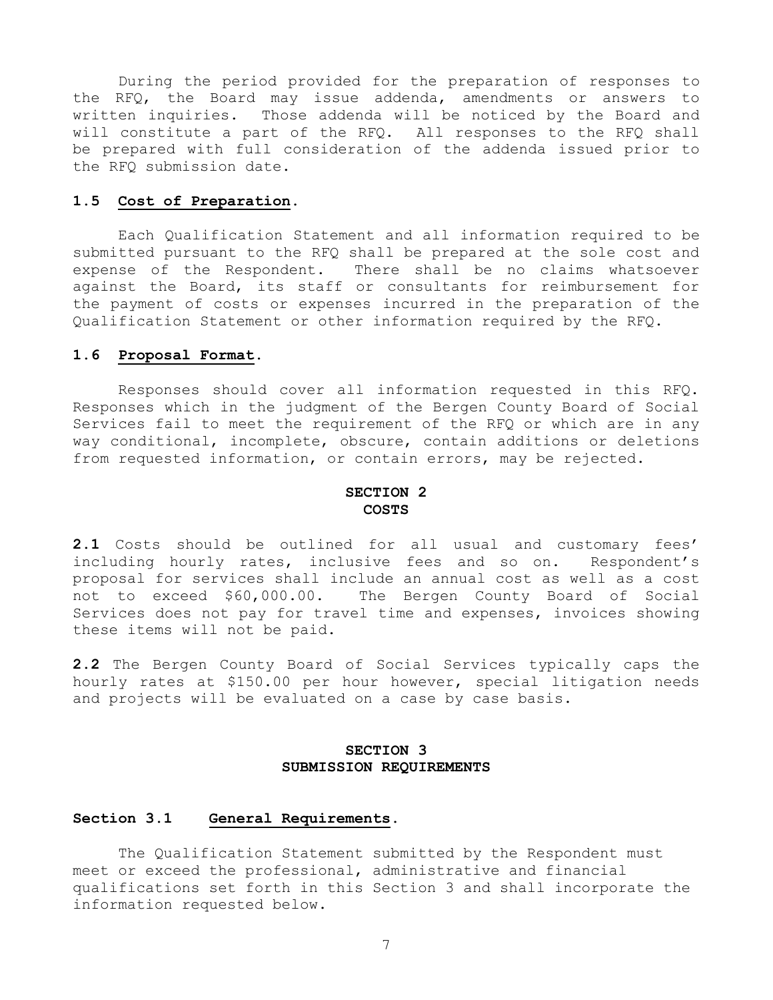During the period provided for the preparation of responses to the RFQ, the Board may issue addenda, amendments or answers to written inquiries. Those addenda will be noticed by the Board and will constitute a part of the RFQ. All responses to the RFQ shall be prepared with full consideration of the addenda issued prior to the RFQ submission date.

## **1.5 Cost of Preparation.**

Each Qualification Statement and all information required to be submitted pursuant to the RFQ shall be prepared at the sole cost and expense of the Respondent. There shall be no claims whatsoever against the Board, its staff or consultants for reimbursement for the payment of costs or expenses incurred in the preparation of the Qualification Statement or other information required by the RFQ.

#### **1.6 Proposal Format.**

Responses should cover all information requested in this RFQ. Responses which in the judgment of the Bergen County Board of Social Services fail to meet the requirement of the RFQ or which are in any way conditional, incomplete, obscure, contain additions or deletions from requested information, or contain errors, may be rejected.

## **SECTION 2 COSTS**

**2.1** Costs should be outlined for all usual and customary fees' including hourly rates, inclusive fees and so on. Respondent's proposal for services shall include an annual cost as well as a cost not to exceed \$60,000.00. The Bergen County Board of Social Services does not pay for travel time and expenses, invoices showing these items will not be paid.

**2.2** The Bergen County Board of Social Services typically caps the hourly rates at \$150.00 per hour however, special litigation needs and projects will be evaluated on a case by case basis.

# **SECTION 3 SUBMISSION REQUIREMENTS**

## **Section 3.1 General Requirements.**

The Qualification Statement submitted by the Respondent must meet or exceed the professional, administrative and financial qualifications set forth in this Section 3 and shall incorporate the information requested below.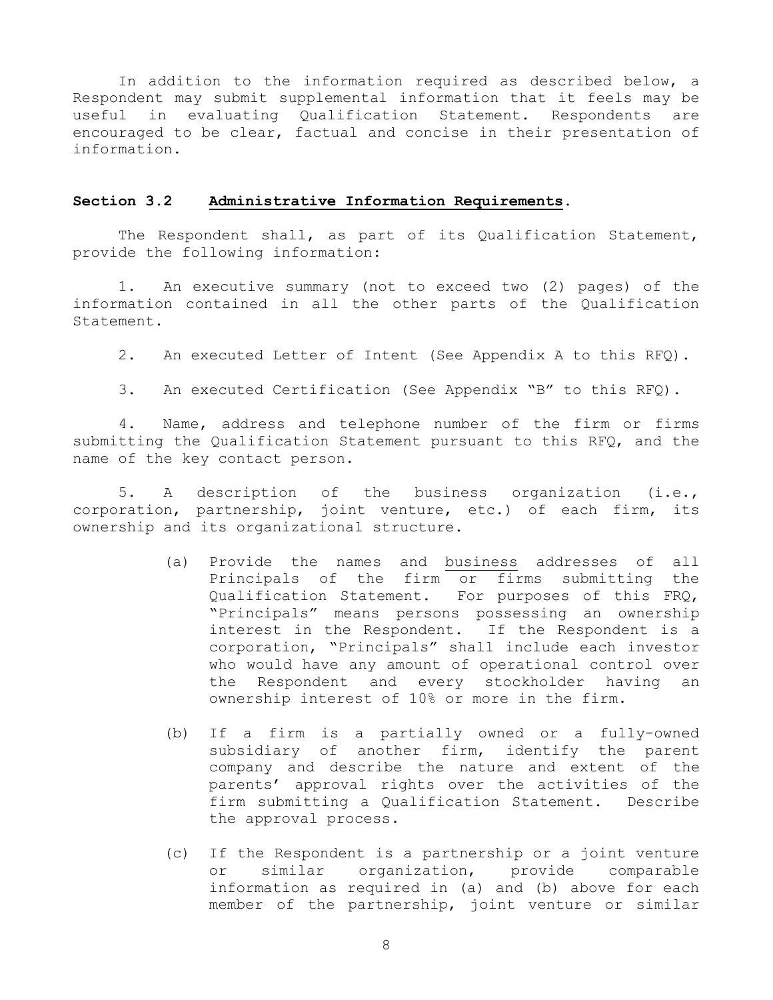In addition to the information required as described below, a Respondent may submit supplemental information that it feels may be useful in evaluating Qualification Statement. Respondents are encouraged to be clear, factual and concise in their presentation of information.

## **Section 3.2 Administrative Information Requirements.**

The Respondent shall, as part of its Qualification Statement, provide the following information:

 1. An executive summary (not to exceed two (2) pages) of the information contained in all the other parts of the Qualification Statement.

2. An executed Letter of Intent (See Appendix A to this RFQ).

3. An executed Certification (See Appendix "B" to this RFQ).

 4. Name, address and telephone number of the firm or firms submitting the Qualification Statement pursuant to this RFQ, and the name of the key contact person.

 5. A description of the business organization (i.e., corporation, partnership, joint venture, etc.) of each firm, its ownership and its organizational structure.

- (a) Provide the names and business addresses of all Principals of the firm or firms submitting the Qualification Statement. For purposes of this FRQ, "Principals" means persons possessing an ownership interest in the Respondent. If the Respondent is a corporation, "Principals" shall include each investor who would have any amount of operational control over the Respondent and every stockholder having an ownership interest of 10% or more in the firm.
- (b) If a firm is a partially owned or a fully-owned subsidiary of another firm, identify the parent company and describe the nature and extent of the parents' approval rights over the activities of the firm submitting a Qualification Statement. Describe the approval process.
- (c) If the Respondent is a partnership or a joint venture or similar organization, provide comparable information as required in (a) and (b) above for each member of the partnership, joint venture or similar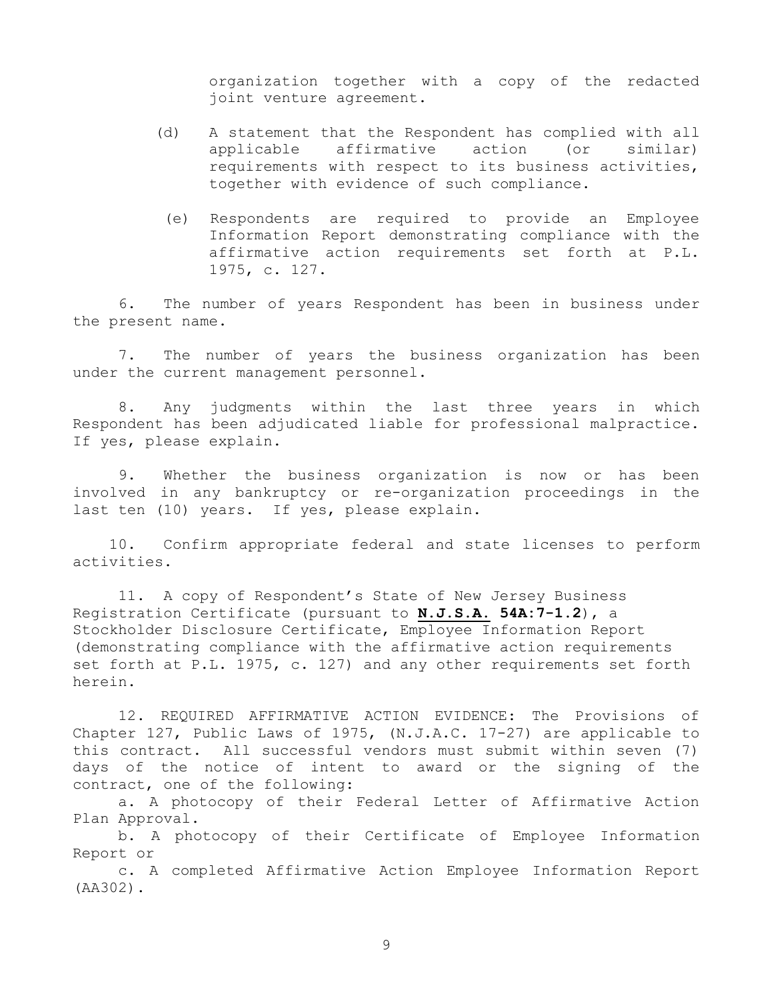organization together with a copy of the redacted joint venture agreement.

- (d) A statement that the Respondent has complied with all applicable affirmative action (or similar) requirements with respect to its business activities, together with evidence of such compliance.
	- (e) Respondents are required to provide an Employee Information Report demonstrating compliance with the affirmative action requirements set forth at P.L. 1975, c. 127.

 6. The number of years Respondent has been in business under the present name.

 7. The number of years the business organization has been under the current management personnel.

 8. Any judgments within the last three years in which Respondent has been adjudicated liable for professional malpractice. If yes, please explain.

 9. Whether the business organization is now or has been involved in any bankruptcy or re-organization proceedings in the last ten (10) years. If yes, please explain.

 10. Confirm appropriate federal and state licenses to perform activities.

 11. A copy of Respondent's State of New Jersey Business Registration Certificate (pursuant to **N.J.S.A. 54A:7-1.2**), a Stockholder Disclosure Certificate, Employee Information Report (demonstrating compliance with the affirmative action requirements set forth at P.L. 1975, c. 127) and any other requirements set forth herein.

 12. REQUIRED AFFIRMATIVE ACTION EVIDENCE: The Provisions of Chapter 127, Public Laws of 1975, (N.J.A.C. 17-27) are applicable to this contract. All successful vendors must submit within seven (7) days of the notice of intent to award or the signing of the contract, one of the following:

a. A photocopy of their Federal Letter of Affirmative Action Plan Approval.

b. A photocopy of their Certificate of Employee Information Report or

c. A completed Affirmative Action Employee Information Report (AA302).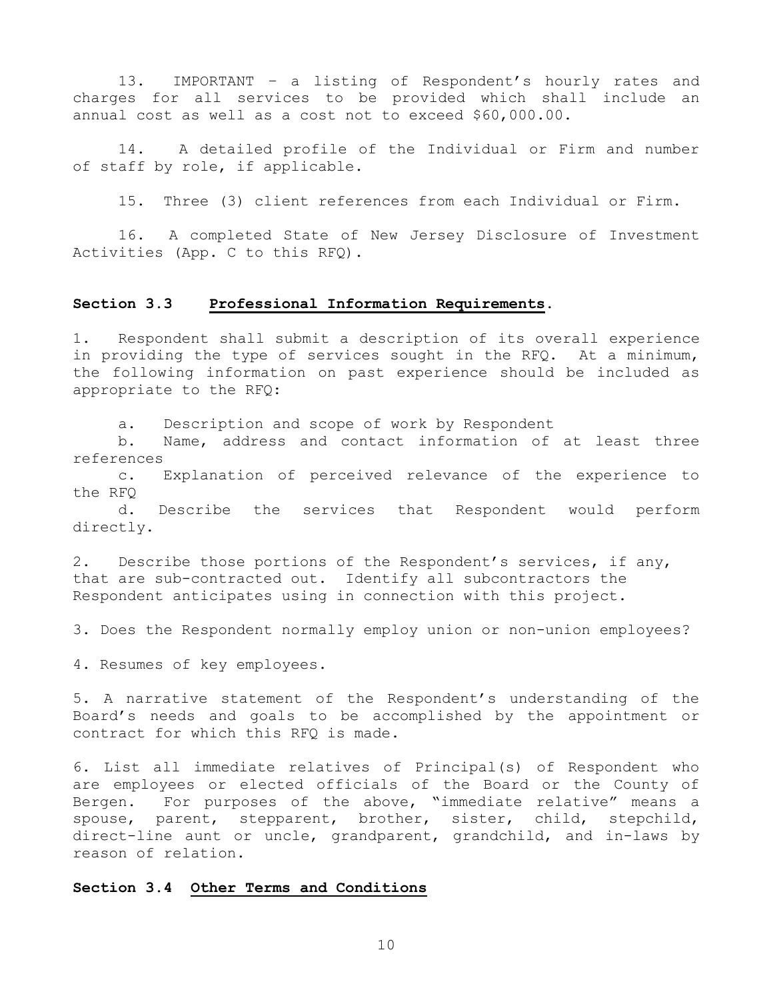13. IMPORTANT – a listing of Respondent's hourly rates and charges for all services to be provided which shall include an annual cost as well as a cost not to exceed \$60,000.00.

14. A detailed profile of the Individual or Firm and number of staff by role, if applicable.

15. Three (3) client references from each Individual or Firm.

 16. A completed State of New Jersey Disclosure of Investment Activities (App. C to this RFQ).

## **Section 3.3 Professional Information Requirements.**

1. Respondent shall submit a description of its overall experience in providing the type of services sought in the RFQ. At a minimum, the following information on past experience should be included as appropriate to the RFQ:

a. Description and scope of work by Respondent

b. Name, address and contact information of at least three references

c. Explanation of perceived relevance of the experience to the RFQ

 d. Describe the services that Respondent would perform directly.

2. Describe those portions of the Respondent's services, if any, that are sub-contracted out. Identify all subcontractors the Respondent anticipates using in connection with this project.

3. Does the Respondent normally employ union or non-union employees?

4. Resumes of key employees.

5. A narrative statement of the Respondent's understanding of the Board's needs and goals to be accomplished by the appointment or contract for which this RFQ is made.

6. List all immediate relatives of Principal(s) of Respondent who are employees or elected officials of the Board or the County of Bergen. For purposes of the above, "immediate relative" means a spouse, parent, stepparent, brother, sister, child, stepchild, direct-line aunt or uncle, grandparent, grandchild, and in-laws by reason of relation.

## **Section 3.4 Other Terms and Conditions**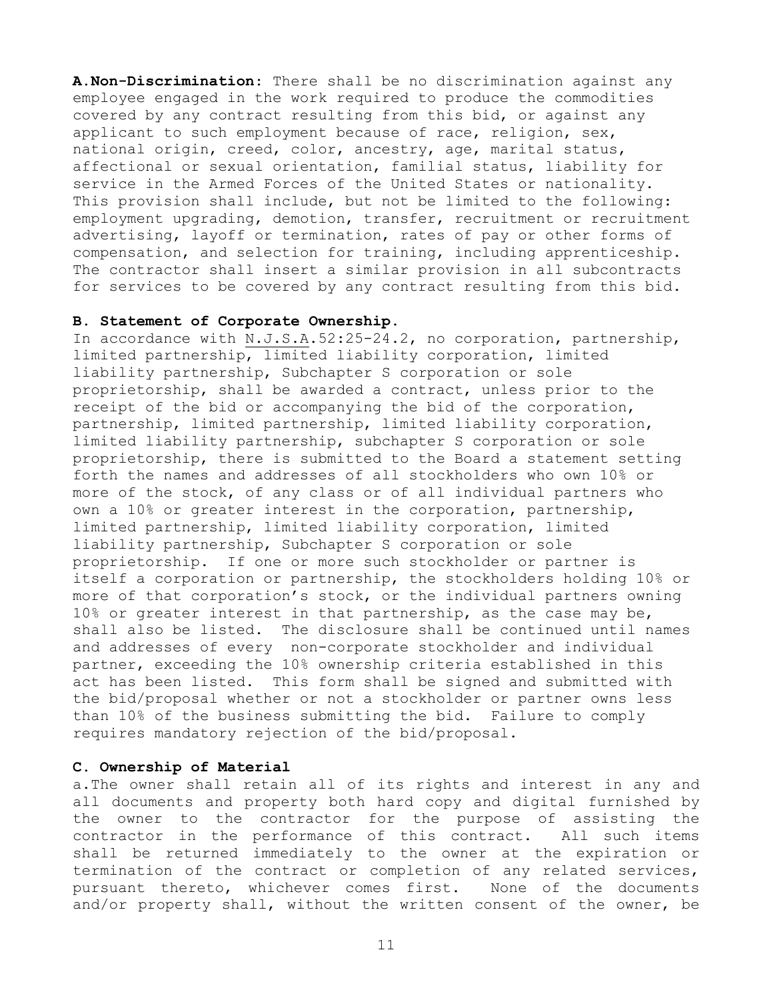**A.Non-Discrimination**: There shall be no discrimination against any employee engaged in the work required to produce the commodities covered by any contract resulting from this bid, or against any applicant to such employment because of race, religion, sex, national origin, creed, color, ancestry, age, marital status, affectional or sexual orientation, familial status, liability for service in the Armed Forces of the United States or nationality. This provision shall include, but not be limited to the following: employment upgrading, demotion, transfer, recruitment or recruitment advertising, layoff or termination, rates of pay or other forms of compensation, and selection for training, including apprenticeship. The contractor shall insert a similar provision in all subcontracts for services to be covered by any contract resulting from this bid.

## **B. Statement of Corporate Ownership**.

In accordance with N.J.S.A.52:25-24.2, no corporation, partnership, limited partnership, limited liability corporation, limited liability partnership, Subchapter S corporation or sole proprietorship, shall be awarded a contract, unless prior to the receipt of the bid or accompanying the bid of the corporation, partnership, limited partnership, limited liability corporation, limited liability partnership, subchapter S corporation or sole proprietorship, there is submitted to the Board a statement setting forth the names and addresses of all stockholders who own 10% or more of the stock, of any class or of all individual partners who own a 10% or greater interest in the corporation, partnership, limited partnership, limited liability corporation, limited liability partnership, Subchapter S corporation or sole proprietorship. If one or more such stockholder or partner is itself a corporation or partnership, the stockholders holding 10% or more of that corporation's stock, or the individual partners owning 10% or greater interest in that partnership, as the case may be, shall also be listed. The disclosure shall be continued until names and addresses of every non-corporate stockholder and individual partner, exceeding the 10% ownership criteria established in this act has been listed. This form shall be signed and submitted with the bid/proposal whether or not a stockholder or partner owns less than 10% of the business submitting the bid. Failure to comply requires mandatory rejection of the bid/proposal.

## **C. Ownership of Material**

a.The owner shall retain all of its rights and interest in any and all documents and property both hard copy and digital furnished by the owner to the contractor for the purpose of assisting the contractor in the performance of this contract. All such items shall be returned immediately to the owner at the expiration or termination of the contract or completion of any related services, pursuant thereto, whichever comes first. None of the documents and/or property shall, without the written consent of the owner, be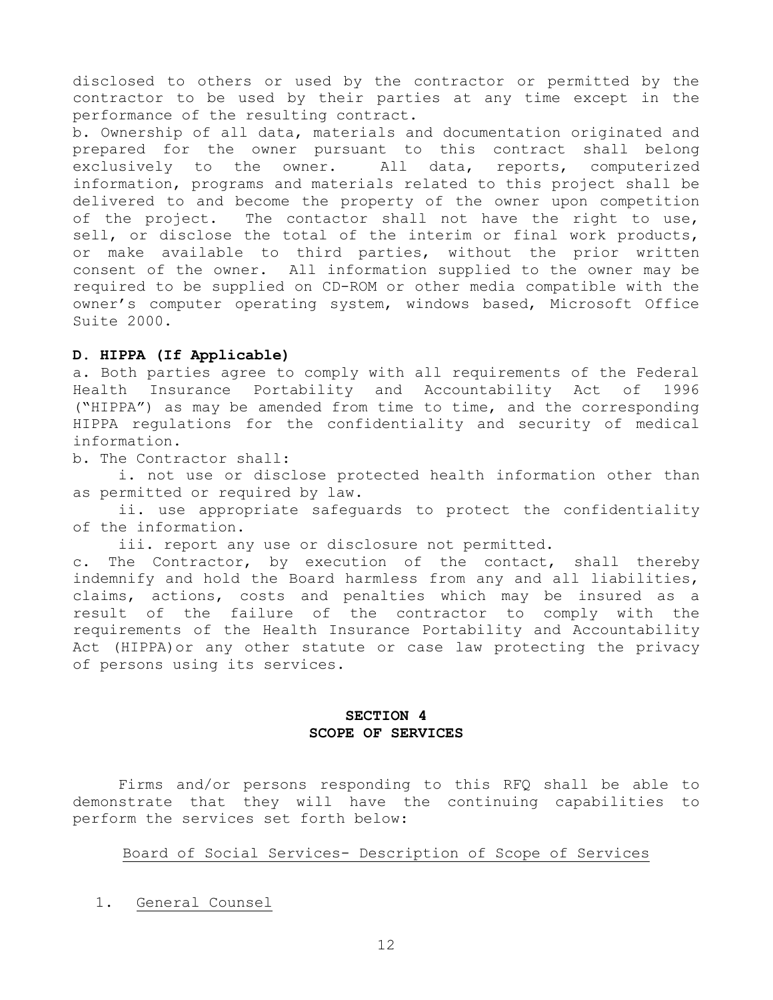disclosed to others or used by the contractor or permitted by the contractor to be used by their parties at any time except in the performance of the resulting contract.

b. Ownership of all data, materials and documentation originated and prepared for the owner pursuant to this contract shall belong exclusively to the owner. All data, reports, computerized information, programs and materials related to this project shall be delivered to and become the property of the owner upon competition of the project. The contactor shall not have the right to use, sell, or disclose the total of the interim or final work products, or make available to third parties, without the prior written consent of the owner. All information supplied to the owner may be required to be supplied on CD-ROM or other media compatible with the owner's computer operating system, windows based, Microsoft Office Suite 2000.

## **D. HIPPA (If Applicable)**

a. Both parties agree to comply with all requirements of the Federal Health Insurance Portability and Accountability Act of 1996 ("HIPPA") as may be amended from time to time, and the corresponding HIPPA regulations for the confidentiality and security of medical information.

b. The Contractor shall:

 i. not use or disclose protected health information other than as permitted or required by law.

 ii. use appropriate safeguards to protect the confidentiality of the information.

iii. report any use or disclosure not permitted.

c. The Contractor, by execution of the contact, shall thereby indemnify and hold the Board harmless from any and all liabilities, claims, actions, costs and penalties which may be insured as a result of the failure of the contractor to comply with the requirements of the Health Insurance Portability and Accountability Act (HIPPA)or any other statute or case law protecting the privacy of persons using its services.

## **SECTION 4 SCOPE OF SERVICES**

 Firms and/or persons responding to this RFQ shall be able to demonstrate that they will have the continuing capabilities to perform the services set forth below:

# Board of Social Services- Description of Scope of Services

1. General Counsel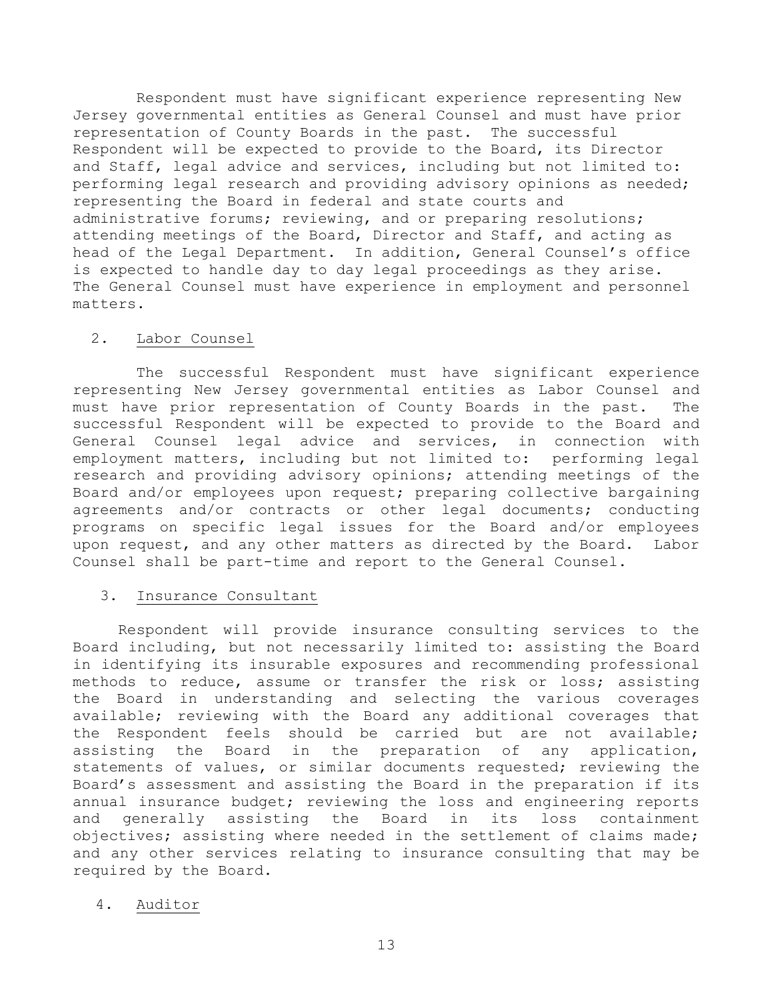Respondent must have significant experience representing New Jersey governmental entities as General Counsel and must have prior representation of County Boards in the past. The successful Respondent will be expected to provide to the Board, its Director and Staff, legal advice and services, including but not limited to: performing legal research and providing advisory opinions as needed; representing the Board in federal and state courts and administrative forums; reviewing, and or preparing resolutions; attending meetings of the Board, Director and Staff, and acting as head of the Legal Department. In addition, General Counsel's office is expected to handle day to day legal proceedings as they arise. The General Counsel must have experience in employment and personnel matters.

## 2. Labor Counsel

 The successful Respondent must have significant experience representing New Jersey governmental entities as Labor Counsel and must have prior representation of County Boards in the past. The successful Respondent will be expected to provide to the Board and General Counsel legal advice and services, in connection with employment matters, including but not limited to: performing legal research and providing advisory opinions; attending meetings of the Board and/or employees upon request; preparing collective bargaining agreements and/or contracts or other legal documents; conducting programs on specific legal issues for the Board and/or employees upon request, and any other matters as directed by the Board. Labor Counsel shall be part-time and report to the General Counsel.

# 3. Insurance Consultant

 Respondent will provide insurance consulting services to the Board including, but not necessarily limited to: assisting the Board in identifying its insurable exposures and recommending professional methods to reduce, assume or transfer the risk or loss; assisting the Board in understanding and selecting the various coverages available; reviewing with the Board any additional coverages that the Respondent feels should be carried but are not available; assisting the Board in the preparation of any application, statements of values, or similar documents requested; reviewing the Board's assessment and assisting the Board in the preparation if its annual insurance budget; reviewing the loss and engineering reports and generally assisting the Board in its loss containment objectives; assisting where needed in the settlement of claims made; and any other services relating to insurance consulting that may be required by the Board.

# 4. Auditor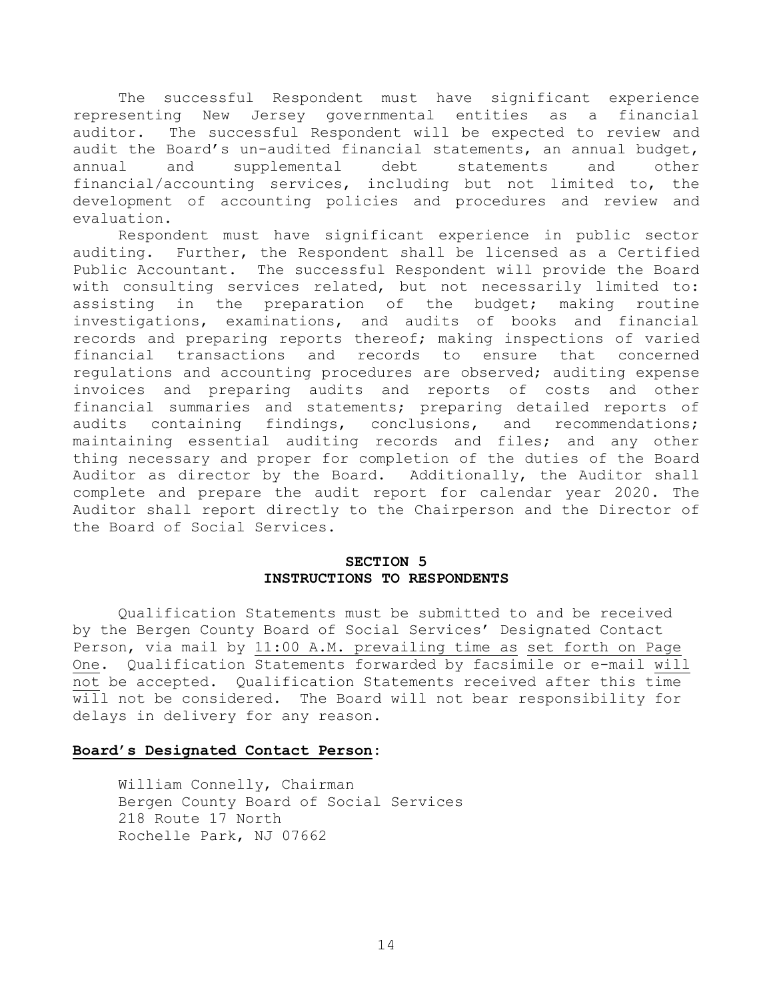The successful Respondent must have significant experience representing New Jersey governmental entities as a financial auditor. The successful Respondent will be expected to review and audit the Board's un-audited financial statements, an annual budget, annual and supplemental debt statements and other financial/accounting services, including but not limited to, the development of accounting policies and procedures and review and evaluation.

 Respondent must have significant experience in public sector auditing. Further, the Respondent shall be licensed as a Certified Public Accountant. The successful Respondent will provide the Board with consulting services related, but not necessarily limited to: assisting in the preparation of the budget; making routine investigations, examinations, and audits of books and financial records and preparing reports thereof; making inspections of varied financial transactions and records to ensure that concerned regulations and accounting procedures are observed; auditing expense invoices and preparing audits and reports of costs and other financial summaries and statements; preparing detailed reports of audits containing findings, conclusions, and recommendations; maintaining essential auditing records and files; and any other thing necessary and proper for completion of the duties of the Board Auditor as director by the Board. Additionally, the Auditor shall complete and prepare the audit report for calendar year 2020. The Auditor shall report directly to the Chairperson and the Director of the Board of Social Services.

# **SECTION 5 INSTRUCTIONS TO RESPONDENTS**

Qualification Statements must be submitted to and be received by the Bergen County Board of Social Services' Designated Contact Person, via mail by 11:00 A.M. prevailing time as set forth on Page One. Qualification Statements forwarded by facsimile or e-mail will not be accepted. Qualification Statements received after this time will not be considered. The Board will not bear responsibility for delays in delivery for any reason.

## **Board's Designated Contact Person:**

William Connelly, Chairman Bergen County Board of Social Services 218 Route 17 North Rochelle Park, NJ 07662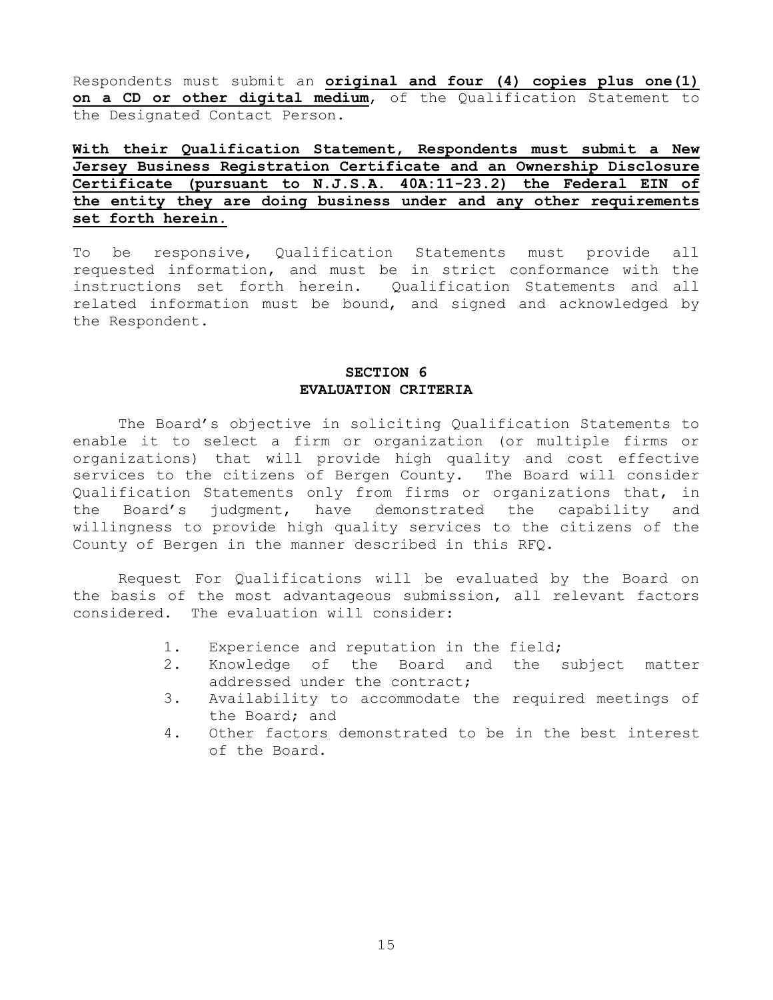Respondents must submit an **original and four (4) copies plus one(1) on a CD or other digital medium**, of the Qualification Statement to the Designated Contact Person.

# **With their Qualification Statement, Respondents must submit a New Jersey Business Registration Certificate and an Ownership Disclosure Certificate (pursuant to N.J.S.A. 40A:11-23.2) the Federal EIN of the entity they are doing business under and any other requirements set forth herein**.

To be responsive, Qualification Statements must provide all requested information, and must be in strict conformance with the instructions set forth herein. Qualification Statements and all related information must be bound, and signed and acknowledged by the Respondent.

# **SECTION 6 EVALUATION CRITERIA**

 The Board's objective in soliciting Qualification Statements to enable it to select a firm or organization (or multiple firms or organizations) that will provide high quality and cost effective services to the citizens of Bergen County. The Board will consider Qualification Statements only from firms or organizations that, in the Board's judgment, have demonstrated the capability and willingness to provide high quality services to the citizens of the County of Bergen in the manner described in this RFQ.

 Request For Qualifications will be evaluated by the Board on the basis of the most advantageous submission, all relevant factors considered. The evaluation will consider:

- 1. Experience and reputation in the field;
- 2. Knowledge of the Board and the subject matter addressed under the contract;
- 3. Availability to accommodate the required meetings of the Board; and
- 4. Other factors demonstrated to be in the best interest of the Board.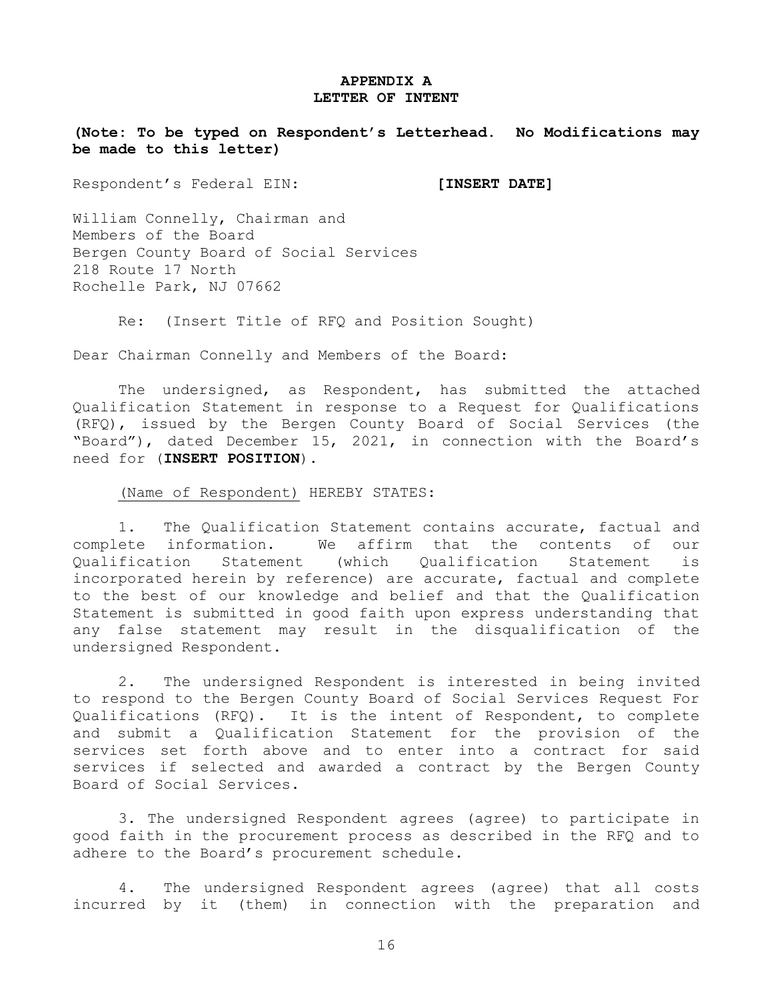## **APPENDIX A LETTER OF INTENT**

**(Note: To be typed on Respondent's Letterhead. No Modifications may be made to this letter)** 

Respondent's Federal EIN: **[INSERT DATE]** 

William Connelly, Chairman and Members of the Board Bergen County Board of Social Services 218 Route 17 North Rochelle Park, NJ 07662

Re: (Insert Title of RFQ and Position Sought)

Dear Chairman Connelly and Members of the Board:

 The undersigned, as Respondent, has submitted the attached Qualification Statement in response to a Request for Qualifications (RFQ), issued by the Bergen County Board of Social Services (the "Board"), dated December 15, 2021, in connection with the Board's need for (**INSERT POSITION**).

(Name of Respondent) HEREBY STATES:

 1. The Qualification Statement contains accurate, factual and complete information. We affirm that the contents of our Qualification Statement (which Qualification Statement is incorporated herein by reference) are accurate, factual and complete to the best of our knowledge and belief and that the Qualification Statement is submitted in good faith upon express understanding that any false statement may result in the disqualification of the undersigned Respondent.

 2. The undersigned Respondent is interested in being invited to respond to the Bergen County Board of Social Services Request For Qualifications (RFQ). It is the intent of Respondent, to complete and submit a Qualification Statement for the provision of the services set forth above and to enter into a contract for said services if selected and awarded a contract by the Bergen County Board of Social Services.

3. The undersigned Respondent agrees (agree) to participate in good faith in the procurement process as described in the RFQ and to adhere to the Board's procurement schedule.

 4. The undersigned Respondent agrees (agree) that all costs incurred by it (them) in connection with the preparation and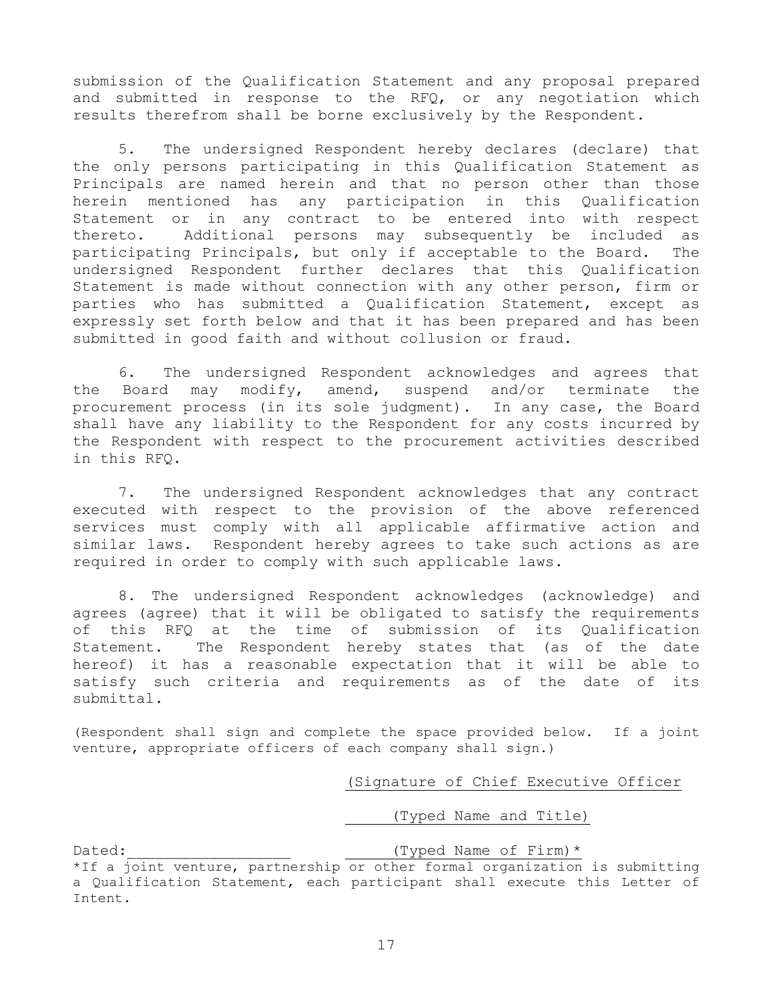submission of the Qualification Statement and any proposal prepared and submitted in response to the RFQ, or any negotiation which results therefrom shall be borne exclusively by the Respondent.

 5. The undersigned Respondent hereby declares (declare) that the only persons participating in this Qualification Statement as Principals are named herein and that no person other than those herein mentioned has any participation in this Qualification Statement or in any contract to be entered into with respect thereto. Additional persons may subsequently be included as participating Principals, but only if acceptable to the Board. The undersigned Respondent further declares that this Qualification Statement is made without connection with any other person, firm or parties who has submitted a Qualification Statement, except as expressly set forth below and that it has been prepared and has been submitted in good faith and without collusion or fraud.

 6. The undersigned Respondent acknowledges and agrees that the Board may modify, amend, suspend and/or terminate the procurement process (in its sole judgment). In any case, the Board shall have any liability to the Respondent for any costs incurred by the Respondent with respect to the procurement activities described in this RFQ.

 7. The undersigned Respondent acknowledges that any contract executed with respect to the provision of the above referenced services must comply with all applicable affirmative action and similar laws. Respondent hereby agrees to take such actions as are required in order to comply with such applicable laws.

 8. The undersigned Respondent acknowledges (acknowledge) and agrees (agree) that it will be obligated to satisfy the requirements of this RFQ at the time of submission of its Qualification Statement. The Respondent hereby states that (as of the date hereof) it has a reasonable expectation that it will be able to satisfy such criteria and requirements as of the date of its submittal.

(Respondent shall sign and complete the space provided below. If a joint venture, appropriate officers of each company shall sign.)

## (Signature of Chief Executive Officer

(Typed Name and Title)

Dated: Typed Name of Firm)\*

<sup>\*</sup>If a joint venture, partnership or other formal organization is submitting a Qualification Statement, each participant shall execute this Letter of Intent.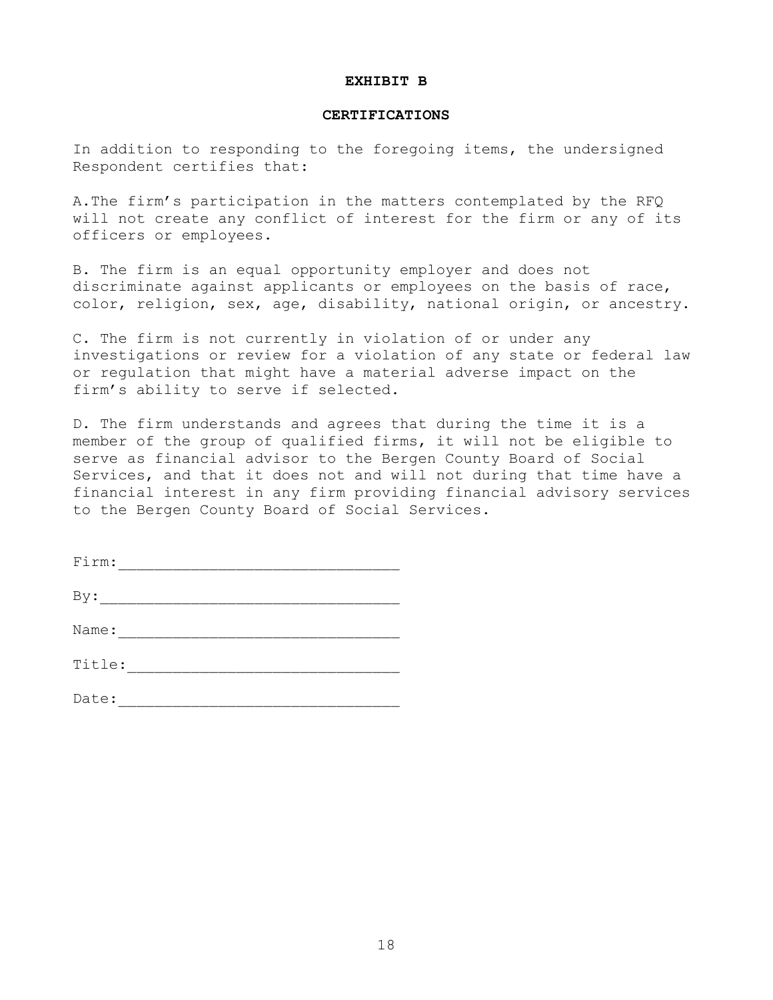#### **EXHIBIT B**

### **CERTIFICATIONS**

In addition to responding to the foregoing items, the undersigned Respondent certifies that:

A.The firm's participation in the matters contemplated by the RFQ will not create any conflict of interest for the firm or any of its officers or employees.

B. The firm is an equal opportunity employer and does not discriminate against applicants or employees on the basis of race, color, religion, sex, age, disability, national origin, or ancestry.

C. The firm is not currently in violation of or under any investigations or review for a violation of any state or federal law or regulation that might have a material adverse impact on the firm's ability to serve if selected.

D. The firm understands and agrees that during the time it is a member of the group of qualified firms, it will not be eligible to serve as financial advisor to the Bergen County Board of Social Services, and that it does not and will not during that time have a financial interest in any firm providing financial advisory services to the Bergen County Board of Social Services.

| Firm:  |  |
|--------|--|
| By:    |  |
| Name:  |  |
| Title: |  |

Date: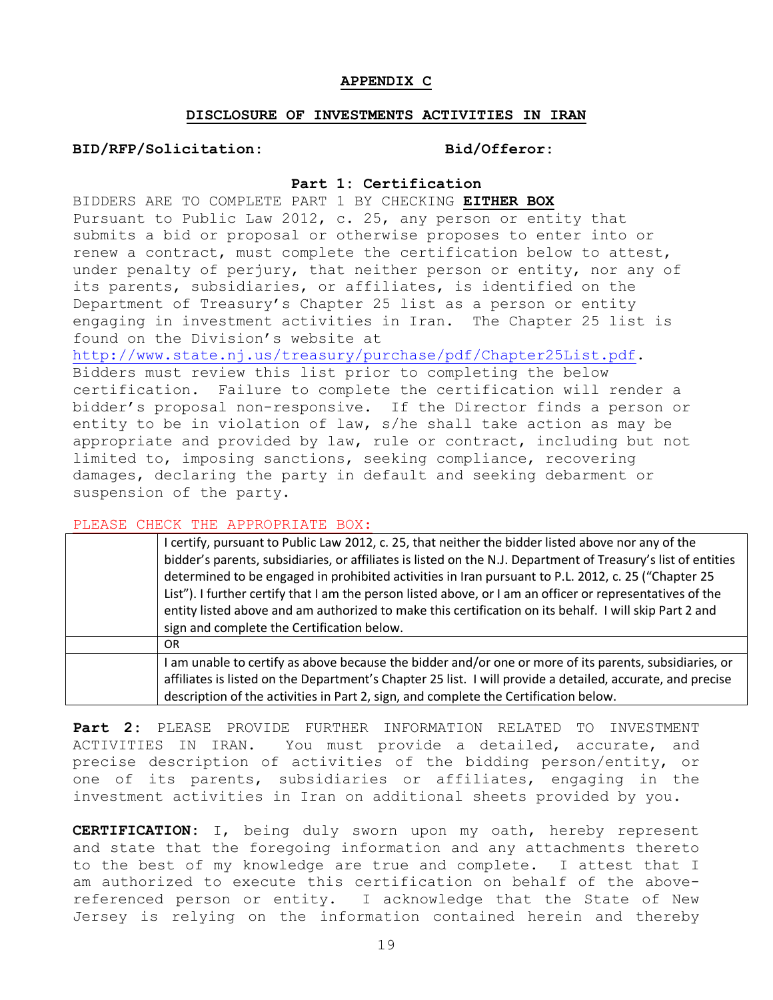## **APPENDIX C**

## **DISCLOSURE OF INVESTMENTS ACTIVITIES IN IRAN**

**BID/RFP/Solicitation: Bid/Offeror:** 

## **Part 1: Certification**

BIDDERS ARE TO COMPLETE PART 1 BY CHECKING **EITHER BOX** Pursuant to Public Law 2012, c. 25, any person or entity that submits a bid or proposal or otherwise proposes to enter into or renew a contract, must complete the certification below to attest, under penalty of perjury, that neither person or entity, nor any of its parents, subsidiaries, or affiliates, is identified on the Department of Treasury's Chapter 25 list as a person or entity engaging in investment activities in Iran. The Chapter 25 list is found on the Division's website at

http://www.state.nj.us/treasury/purchase/pdf/Chapter25List.pdf. Bidders must review this list prior to completing the below certification. Failure to complete the certification will render a bidder's proposal non-responsive. If the Director finds a person or entity to be in violation of law, s/he shall take action as may be appropriate and provided by law, rule or contract, including but not limited to, imposing sanctions, seeking compliance, recovering damages, declaring the party in default and seeking debarment or suspension of the party.

PLEASE CHECK THE APPROPRIATE BOX:

| I certify, pursuant to Public Law 2012, c. 25, that neither the bidder listed above nor any of the<br>bidder's parents, subsidiaries, or affiliates is listed on the N.J. Department of Treasury's list of entities<br>determined to be engaged in prohibited activities in Iran pursuant to P.L. 2012, c. 25 ("Chapter 25<br>List"). I further certify that I am the person listed above, or I am an officer or representatives of the<br>entity listed above and am authorized to make this certification on its behalf. I will skip Part 2 and<br>sign and complete the Certification below. |  |
|-------------------------------------------------------------------------------------------------------------------------------------------------------------------------------------------------------------------------------------------------------------------------------------------------------------------------------------------------------------------------------------------------------------------------------------------------------------------------------------------------------------------------------------------------------------------------------------------------|--|
| OR.                                                                                                                                                                                                                                                                                                                                                                                                                                                                                                                                                                                             |  |
| I am unable to certify as above because the bidder and/or one or more of its parents, subsidiaries, or<br>affiliates is listed on the Department's Chapter 25 list. I will provide a detailed, accurate, and precise<br>description of the activities in Part 2, sign, and complete the Certification below.                                                                                                                                                                                                                                                                                    |  |

**Part 2:** PLEASE PROVIDE FURTHER INFORMATION RELATED TO INVESTMENT ACTIVITIES IN IRAN**.** You must provide a detailed, accurate, and precise description of activities of the bidding person/entity, or one of its parents, subsidiaries or affiliates, engaging in the investment activities in Iran on additional sheets provided by you.

**CERTIFICATION:** I, being duly sworn upon my oath, hereby represent and state that the foregoing information and any attachments thereto to the best of my knowledge are true and complete. I attest that I am authorized to execute this certification on behalf of the abovereferenced person or entity. I acknowledge that the State of New Jersey is relying on the information contained herein and thereby